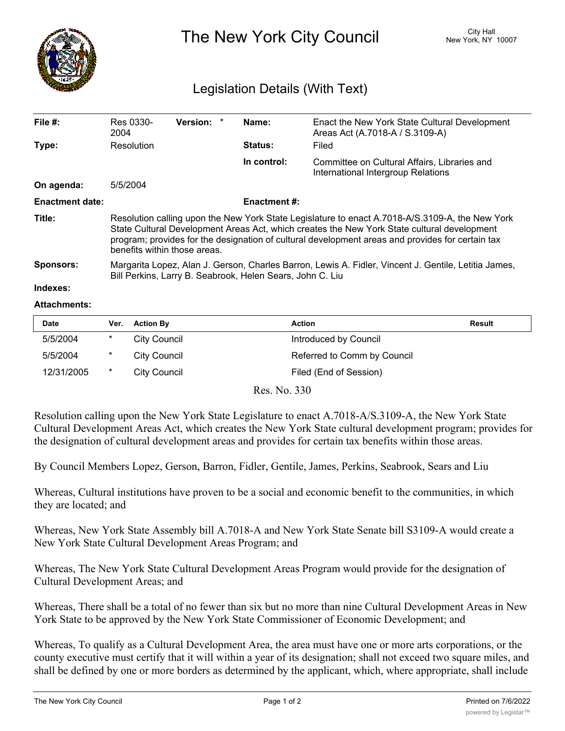

The New York City Council New York, NY 10007

## Legislation Details (With Text)

| File $#$ :             | Res 0330-<br>2004                                                                                                                                                                                                                                                                                                                  | <b>Version:</b> |  | Name:               | Enact the New York State Cultural Development<br>Areas Act (A.7018-A / S.3109-A)   |  |  |
|------------------------|------------------------------------------------------------------------------------------------------------------------------------------------------------------------------------------------------------------------------------------------------------------------------------------------------------------------------------|-----------------|--|---------------------|------------------------------------------------------------------------------------|--|--|
| Type:                  | Resolution                                                                                                                                                                                                                                                                                                                         |                 |  | Status:             | Filed                                                                              |  |  |
|                        |                                                                                                                                                                                                                                                                                                                                    |                 |  | In control:         | Committee on Cultural Affairs, Libraries and<br>International Intergroup Relations |  |  |
| On agenda:             | 5/5/2004                                                                                                                                                                                                                                                                                                                           |                 |  |                     |                                                                                    |  |  |
| <b>Enactment date:</b> |                                                                                                                                                                                                                                                                                                                                    |                 |  | <b>Enactment #:</b> |                                                                                    |  |  |
| Title:                 | Resolution calling upon the New York State Legislature to enact A.7018-A/S.3109-A, the New York<br>State Cultural Development Areas Act, which creates the New York State cultural development<br>program; provides for the designation of cultural development areas and provides for certain tax<br>benefits within those areas. |                 |  |                     |                                                                                    |  |  |
| <b>Sponsors:</b>       | Margarita Lopez, Alan J. Gerson, Charles Barron, Lewis A. Fidler, Vincent J. Gentile, Letitia James,<br>Bill Perkins, Larry B. Seabrook, Helen Sears, John C. Liu                                                                                                                                                                  |                 |  |                     |                                                                                    |  |  |
| Indexes:               |                                                                                                                                                                                                                                                                                                                                    |                 |  |                     |                                                                                    |  |  |

## **Attachments:**

| <b>Date</b> | Ver. | <b>Action By</b> | <b>Action</b>               | <b>Result</b> |
|-------------|------|------------------|-----------------------------|---------------|
| 5/5/2004    | *    | City Council     | Introduced by Council       |               |
| 5/5/2004    | *    | City Council     | Referred to Comm by Council |               |
| 12/31/2005  | *    | City Council     | Filed (End of Session)      |               |

Res. No. 330

Resolution calling upon the New York State Legislature to enact A.7018-A/S.3109-A, the New York State Cultural Development Areas Act, which creates the New York State cultural development program; provides for the designation of cultural development areas and provides for certain tax benefits within those areas.

By Council Members Lopez, Gerson, Barron, Fidler, Gentile, James, Perkins, Seabrook, Sears and Liu

Whereas, Cultural institutions have proven to be a social and economic benefit to the communities, in which they are located; and

Whereas, New York State Assembly bill A.7018-A and New York State Senate bill S3109-A would create a New York State Cultural Development Areas Program; and

Whereas, The New York State Cultural Development Areas Program would provide for the designation of Cultural Development Areas; and

Whereas, There shall be a total of no fewer than six but no more than nine Cultural Development Areas in New York State to be approved by the New York State Commissioner of Economic Development; and

Whereas, To qualify as a Cultural Development Area, the area must have one or more arts corporations, or the county executive must certify that it will within a year of its designation; shall not exceed two square miles, and shall be defined by one or more borders as determined by the applicant, which, where appropriate, shall include